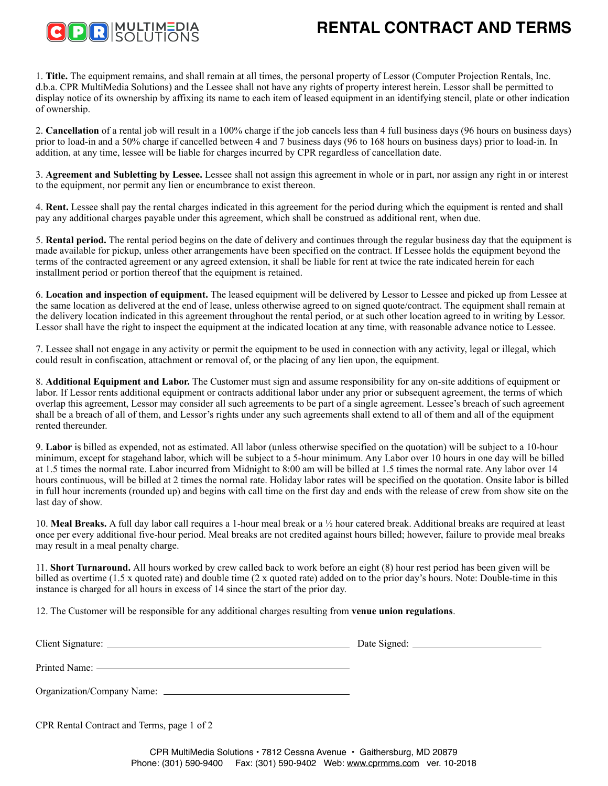## **RENTAL CONTRACT AND TERMS**



1. **Title.** The equipment remains, and shall remain at all times, the personal property of Lessor (Computer Projection Rentals, Inc. d.b.a. CPR MultiMedia Solutions) and the Lessee shall not have any rights of property interest herein. Lessor shall be permitted to display notice of its ownership by affixing its name to each item of leased equipment in an identifying stencil, plate or other indication of ownership.

2. **Cancellation** of a rental job will result in a 100% charge if the job cancels less than 4 full business days (96 hours on business days) prior to load-in and a 50% charge if cancelled between 4 and 7 business days (96 to 168 hours on business days) prior to load-in. In addition, at any time, lessee will be liable for charges incurred by CPR regardless of cancellation date.

3. **Agreement and Subletting by Lessee.** Lessee shall not assign this agreement in whole or in part, nor assign any right in or interest to the equipment, nor permit any lien or encumbrance to exist thereon.

4. **Rent.** Lessee shall pay the rental charges indicated in this agreement for the period during which the equipment is rented and shall pay any additional charges payable under this agreement, which shall be construed as additional rent, when due.

5. **Rental period.** The rental period begins on the date of delivery and continues through the regular business day that the equipment is made available for pickup, unless other arrangements have been specified on the contract. If Lessee holds the equipment beyond the terms of the contracted agreement or any agreed extension, it shall be liable for rent at twice the rate indicated herein for each installment period or portion thereof that the equipment is retained.

6. **Location and inspection of equipment.** The leased equipment will be delivered by Lessor to Lessee and picked up from Lessee at the same location as delivered at the end of lease, unless otherwise agreed to on signed quote/contract. The equipment shall remain at the delivery location indicated in this agreement throughout the rental period, or at such other location agreed to in writing by Lessor. Lessor shall have the right to inspect the equipment at the indicated location at any time, with reasonable advance notice to Lessee.

7. Lessee shall not engage in any activity or permit the equipment to be used in connection with any activity, legal or illegal, which could result in confiscation, attachment or removal of, or the placing of any lien upon, the equipment.

8. **Additional Equipment and Labor.** The Customer must sign and assume responsibility for any on-site additions of equipment or labor. If Lessor rents additional equipment or contracts additional labor under any prior or subsequent agreement, the terms of which overlap this agreement, Lessor may consider all such agreements to be part of a single agreement. Lessee's breach of such agreement shall be a breach of all of them, and Lessor's rights under any such agreements shall extend to all of them and all of the equipment rented thereunder.

9. **Labor** is billed as expended, not as estimated. All labor (unless otherwise specified on the quotation) will be subject to a 10-hour minimum, except for stagehand labor, which will be subject to a 5-hour minimum. Any Labor over 10 hours in one day will be billed at 1.5 times the normal rate. Labor incurred from Midnight to 8:00 am will be billed at 1.5 times the normal rate. Any labor over 14 hours continuous, will be billed at 2 times the normal rate. Holiday labor rates will be specified on the quotation. Onsite labor is billed in full hour increments (rounded up) and begins with call time on the first day and ends with the release of crew from show site on the last day of show.

10. **Meal Breaks.** A full day labor call requires a 1-hour meal break or a ½ hour catered break. Additional breaks are required at least once per every additional five-hour period. Meal breaks are not credited against hours billed; however, failure to provide meal breaks may result in a meal penalty charge.

11. **Short Turnaround.** All hours worked by crew called back to work before an eight (8) hour rest period has been given will be billed as overtime (1.5 x quoted rate) and double time (2 x quoted rate) added on to the prior day's hours. Note: Double-time in this instance is charged for all hours in excess of 14 since the start of the prior day.

12. The Customer will be responsible for any additional charges resulting from **venue union regulations**.

| Organization/Company Name: |  |
|----------------------------|--|

CPR Rental Contract and Terms, page 1 of 2